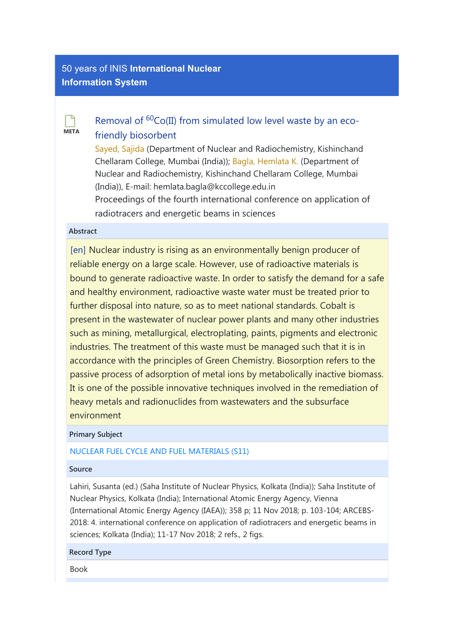# **META**  $\Box$

# [Removal of](https://inis.iaea.org/search/searchsinglerecord.aspx?recordsFor=SingleRecord&RN=50005801)  ${}^{60}Co(II)$  from simulated low level waste by an eco[friendly biosorbent](https://inis.iaea.org/search/searchsinglerecord.aspx?recordsFor=SingleRecord&RN=50005801)

[Sayed, Sajida](https://inis.iaea.org/search/search.aspx?orig_q=author:%22Sayed,%20Sajida%22) (Department of Nuclear and Radiochemistry, Kishinchand Chellaram College, Mumbai (India)); [Bagla, Hemlata K.](https://inis.iaea.org/search/search.aspx?orig_q=author:%22Bagla,%20Hemlata%20K.%22) (Department of Nuclear and Radiochemistry, Kishinchand Chellaram College, Mumbai (India)), E-mail: hemlata.bagla@kccollege.edu.in Proceedings of the fourth international conference on application of radiotracers and energetic beams in sciences

# Abstract

[en] Nuclear industry is rising as an environmentally benign producer of reliable energy on a large scale. However, use of radioactive materials is bound to generate radioactive waste. In order to satisfy the demand for a safe and healthy environment, radioactive waste water must be treated prior to further disposal into nature, so as to meet national standards. Cobalt is present in the wastewater of nuclear power plants and many other industries such as mining, metallurgical, electroplating, paints, pigments and electronic industries. The treatment of this waste must be managed such that it is in accordance with the principles of Green Chemistry. Biosorption refers to the passive process of adsorption of metal ions by metabolically inactive biomass. It is one of the possible innovative techniques involved in the remediation of heavy metals and radionuclides from wastewaters and the subsurface environment

# Primary Subject

# [NUCLEAR FUEL CYCLE AND FUEL MATERIALS \(S11\)](https://inis.iaea.org/search/search.aspx?orig_q=primarysubject:%22NUCLEAR%20FUEL%20CYCLE%20AND%20FUEL%20MATERIALS%20(S11)%22)

# Source

Lahiri, Susanta (ed.) (Saha Institute of Nuclear Physics, Kolkata (India)); Saha Institute of Nuclear Physics, Kolkata (India); International Atomic Energy Agency, Vienna (International Atomic Energy Agency (IAEA)); 358 p; 11 Nov 2018; p. 103-104; ARCEBS-2018: 4. international conference on application of radiotracers and energetic beams in sciences; Kolkata (India); 11-17 Nov 2018; 2 refs., 2 figs.

# Record Type

Book